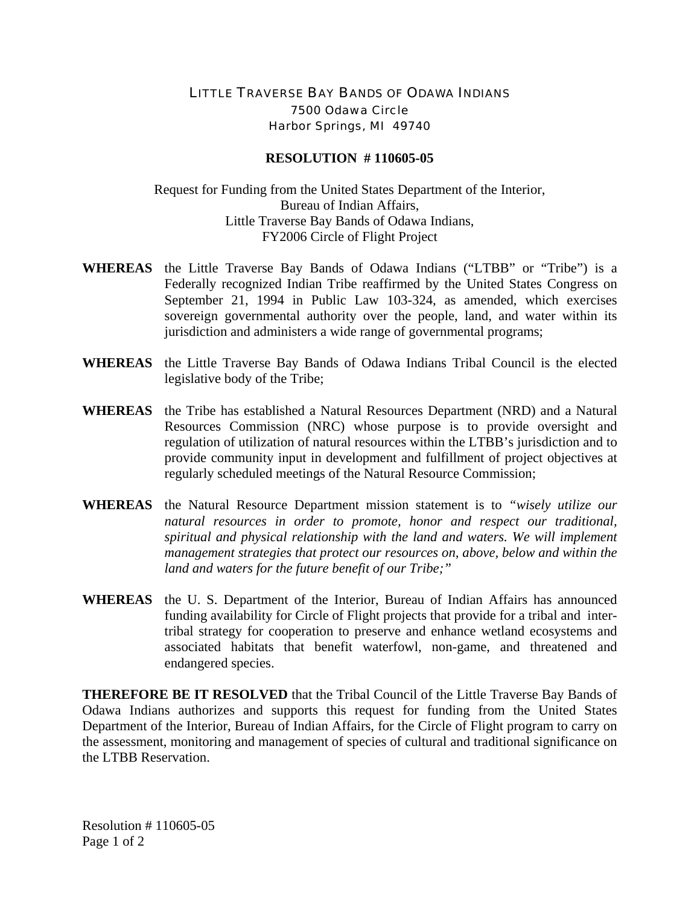## LITTLE TRAVERSE BAY BANDS OF ODAWA INDIANS 7500 Odawa Circle Harbor Springs, MI 49740

## **RESOLUTION # 110605-05**

## Request for Funding from the United States Department of the Interior, Bureau of Indian Affairs, Little Traverse Bay Bands of Odawa Indians, FY2006 Circle of Flight Project

- **WHEREAS** the Little Traverse Bay Bands of Odawa Indians ("LTBB" or "Tribe") is a Federally recognized Indian Tribe reaffirmed by the United States Congress on September 21, 1994 in Public Law 103-324, as amended, which exercises sovereign governmental authority over the people, land, and water within its jurisdiction and administers a wide range of governmental programs;
- **WHEREAS** the Little Traverse Bay Bands of Odawa Indians Tribal Council is the elected legislative body of the Tribe;
- **WHEREAS** the Tribe has established a Natural Resources Department (NRD) and a Natural Resources Commission (NRC) whose purpose is to provide oversight and regulation of utilization of natural resources within the LTBB's jurisdiction and to provide community input in development and fulfillment of project objectives at regularly scheduled meetings of the Natural Resource Commission;
- **WHEREAS** the Natural Resource Department mission statement is to *"wisely utilize our natural resources in order to promote, honor and respect our traditional, spiritual and physical relationship with the land and waters. We will implement management strategies that protect our resources on, above, below and within the land and waters for the future benefit of our Tribe;"*
- **WHEREAS** the U. S. Department of the Interior, Bureau of Indian Affairs has announced funding availability for Circle of Flight projects that provide for a tribal and intertribal strategy for cooperation to preserve and enhance wetland ecosystems and associated habitats that benefit waterfowl, non-game, and threatened and endangered species.

**THEREFORE BE IT RESOLVED** that the Tribal Council of the Little Traverse Bay Bands of Odawa Indians authorizes and supports this request for funding from the United States Department of the Interior, Bureau of Indian Affairs, for the Circle of Flight program to carry on the assessment, monitoring and management of species of cultural and traditional significance on the LTBB Reservation.

Resolution # 110605-05 Page 1 of 2